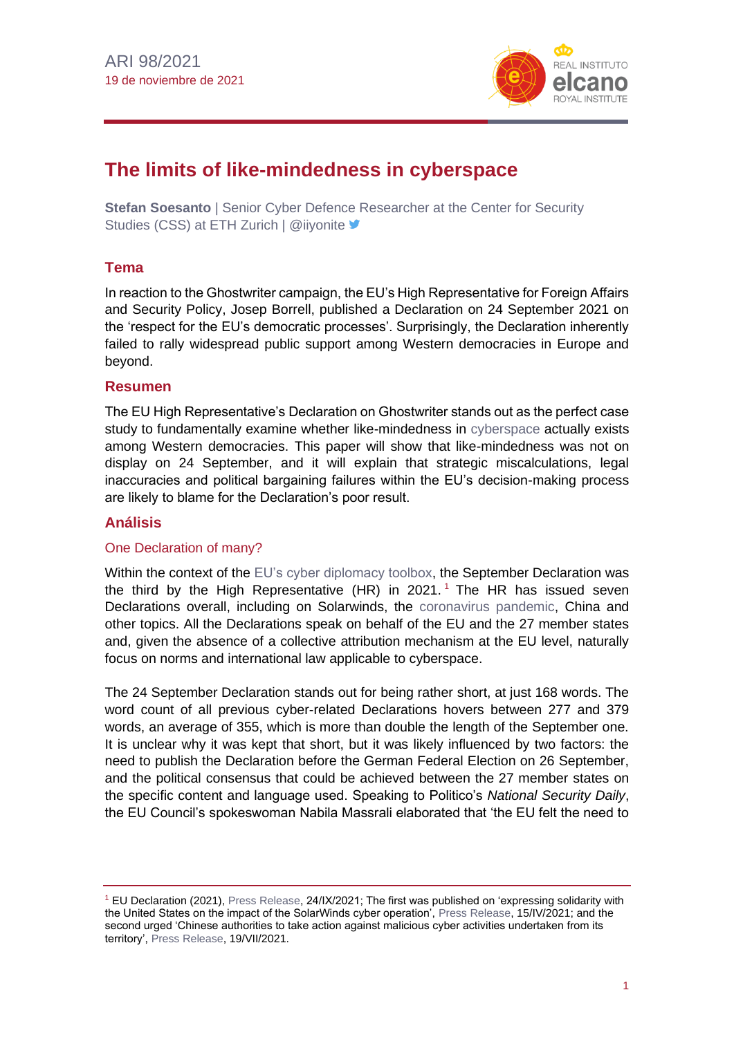

# **The limits of like-mindedness in cyberspace**

**Stefan Soesanto** | Senior Cyber Defence Researcher at the Center for Security Studies (CSS) at ETH Zurich | @iiyonite

# **Tema**

In reaction to the Ghostwriter campaign, the EU's High Representative for Foreign Affairs and Security Policy, Josep Borrell, published a Declaration on 24 September 2021 on the 'respect for the EU's democratic processes'. Surprisingly, the Declaration inherently failed to rally widespread public support among Western democracies in Europe and beyond.

#### **Resumen**

The EU High Representative's Declaration on Ghostwriter stands out as the perfect case study to fundamentally examine whether like-mindedness in [cyberspace](https://blog.realinstitutoelcano.org/en/category/security-defense/cybersecurity-cyberdefence/) actually exists among Western democracies. This paper will show that like-mindedness was not on display on 24 September, and it will explain that strategic miscalculations, legal inaccuracies and political bargaining failures within the EU's decision-making process are likely to blame for the Declaration's poor result.

### **Análisis**

#### One Declaration of many?

Within the context of the [EU's cyber diplomacy toolbox,](http://www.realinstitutoelcano.org/wps/portal/rielcano_es/contenido?WCM_GLOBAL_CONTEXT=/elcano/elcano_es/zonas_es/comentario-arteaga-sanciones-contra-los-ciberataques-la-ue-ensena-las-unas) the September Declaration was the third by the High Representative (HR) in 2021.<sup>1</sup> The HR has issued seven Declarations overall, including on Solarwinds, the [coronavirus pandemic,](https://especiales.realinstitutoelcano.org/coronavirus/?lang=en) China and other topics. All the Declarations speak on behalf of the EU and the 27 member states and, given the absence of a collective attribution mechanism at the EU level, naturally focus on norms and international law applicable to cyberspace.

The 24 September Declaration stands out for being rather short, at just 168 words. The word count of all previous cyber-related Declarations hovers between 277 and 379 words, an average of 355, which is more than double the length of the September one. It is unclear why it was kept that short, but it was likely influenced by two factors: the need to publish the Declaration before the German Federal Election on 26 September, and the political consensus that could be achieved between the 27 member states on the specific content and language used. Speaking to Politico's *National Security Daily*, the EU Council's spokeswoman Nabila Massrali elaborated that 'the EU felt the need to

<sup>1</sup> EU Declaration (2021), [Press Release,](https://www.consilium.europa.eu/en/press/press-releases/2021/09/24/declaration-by-the-high-representative-on-behalf-of-the-european-union-on-respect-for-the-eu-s-democratic-processes/) 24/IX/2021; The first was published on 'expressing solidarity with the United States on the impact of the SolarWinds cyber operation'[, Press Release,](https://www.consilium.europa.eu/en/press/press-releases/2021/04/15/declaration-by-the-high-representative-on-behalf-of-the-european-union-expressing-solidarity-with-the-united-states-on-the-impact-of-the-solarwinds-cyber-operation/) 15/IV/2021; and the second urged 'Chinese authorities to take action against malicious cyber activities undertaken from its territory'[, Press Release,](https://www.consilium.europa.eu/en/press/press-releases/2021/07/19/declaration-by-the-high-representative-on-behalf-of-the-eu-urging-china-to-take-action-against-malicious-cyber-activities-undertaken-from-its-territory/) 19/VII/2021.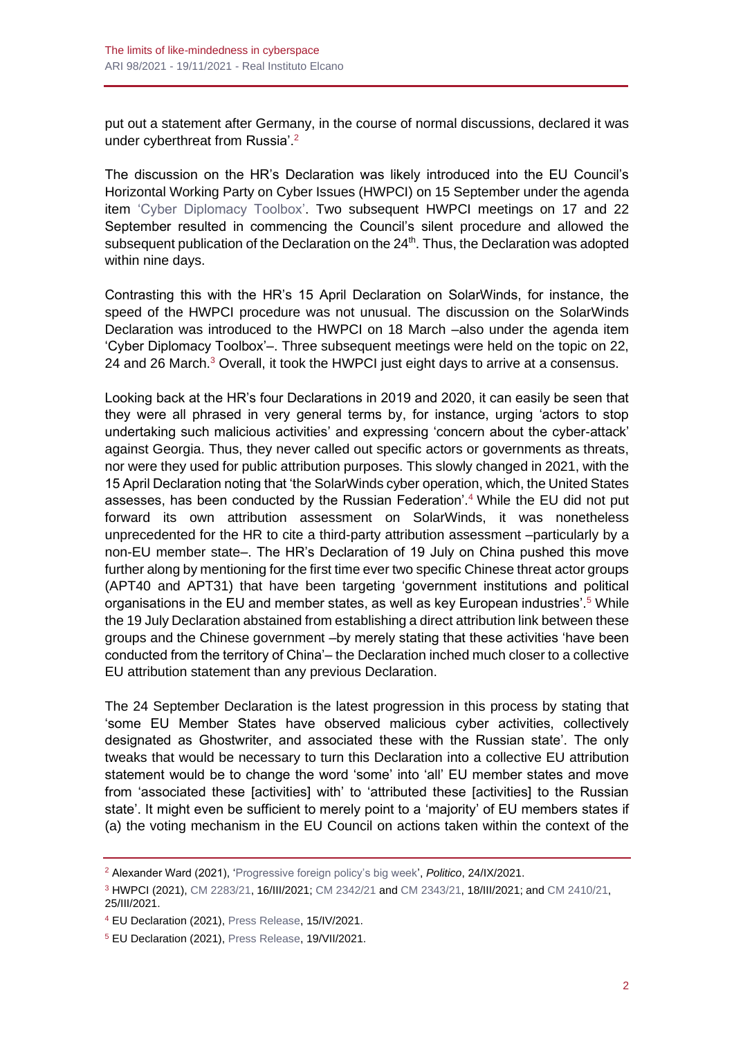put out a statement after Germany, in the course of normal discussions, declared it was under cyberthreat from Russia'.<sup>2</sup>

The discussion on the HR's Declaration was likely introduced into the EU Council's Horizontal Working Party on Cyber Issues (HWPCI) on 15 September under the agenda item ['Cyber Diplomacy Toolbox'.](http://www.realinstitutoelcano.org/wps/portal/rielcano_es/contenido?WCM_GLOBAL_CONTEXT=/elcano/elcano_es/zonas_es/comentario-arteaga-sanciones-contra-los-ciberataques-la-ue-ensena-las-unas) Two subsequent HWPCI meetings on 17 and 22 September resulted in commencing the Council's silent procedure and allowed the subsequent publication of the Declaration on the  $24<sup>th</sup>$ . Thus, the Declaration was adopted within nine days.

Contrasting this with the HR's 15 April Declaration on SolarWinds, for instance, the speed of the HWPCI procedure was not unusual. The discussion on the SolarWinds Declaration was introduced to the HWPCI on 18 March –also under the agenda item 'Cyber Diplomacy Toolbox'–. Three subsequent meetings were held on the topic on 22, 24 and 26 March.<sup>3</sup> Overall, it took the HWPCI just eight days to arrive at a consensus.

Looking back at the HR's four Declarations in 2019 and 2020, it can easily be seen that they were all phrased in very general terms by, for instance, urging 'actors to stop undertaking such malicious activities' and expressing 'concern about the cyber-attack' against Georgia. Thus, they never called out specific actors or governments as threats, nor were they used for public attribution purposes. This slowly changed in 2021, with the 15 April Declaration noting that 'the SolarWinds cyber operation, which, the United States assesses, has been conducted by the Russian Federation'.<sup>4</sup> While the EU did not put forward its own attribution assessment on SolarWinds, it was nonetheless unprecedented for the HR to cite a third-party attribution assessment –particularly by a non-EU member state–. The HR's Declaration of 19 July on China pushed this move further along by mentioning for the first time ever two specific Chinese threat actor groups (APT40 and APT31) that have been targeting 'government institutions and political organisations in the EU and member states, as well as key European industries'.<sup>5</sup> While the 19 July Declaration abstained from establishing a direct attribution link between these groups and the Chinese government –by merely stating that these activities 'have been conducted from the territory of China'– the Declaration inched much closer to a collective EU attribution statement than any previous Declaration.

The 24 September Declaration is the latest progression in this process by stating that 'some EU Member States have observed malicious cyber activities, collectively designated as Ghostwriter, and associated these with the Russian state'. The only tweaks that would be necessary to turn this Declaration into a collective EU attribution statement would be to change the word 'some' into 'all' EU member states and move from 'associated these [activities] with' to 'attributed these [activities] to the Russian state'. It might even be sufficient to merely point to a 'majority' of EU members states if (a) the voting mechanism in the EU Council on actions taken within the context of the

<sup>2</sup> Alexander Ward (2021), ['Progressive foreign policy's big week',](https://www.politico.com/newsletters/national-security-daily/2021/09/24/progressive-foreign-policys-big-week-494467) *Politico*, 24/IX/2021.

<sup>3</sup> HWPCI (2021)[, CM 2283/21,](https://data.consilium.europa.eu/doc/document/CM-2283-2021-INIT/en/pdf) 16/III/2021; [CM 2342/21](https://data.consilium.europa.eu/doc/document/CM-2342-2021-INIT/en/pdf) and [CM 2343/21,](https://data.consilium.europa.eu/doc/document/CM-2343-2021-INIT/en/pdf) 18/III/2021; and [CM 2410/21,](https://data.consilium.europa.eu/doc/document/CM-2410-2021-INIT/en/pdf) 25/III/2021.

<sup>4</sup> EU Declaration (2021), [Press Release,](https://www.consilium.europa.eu/en/press/press-releases/2021/04/15/declaration-by-the-high-representative-on-behalf-of-the-european-union-expressing-solidarity-with-the-united-states-on-the-impact-of-the-solarwinds-cyber-operation/) 15/IV/2021.

<sup>5</sup> EU Declaration (2021), [Press Release,](https://www.consilium.europa.eu/en/press/press-releases/2021/07/19/declaration-by-the-high-representative-on-behalf-of-the-eu-urging-china-to-take-action-against-malicious-cyber-activities-undertaken-from-its-territory/) 19/VII/2021.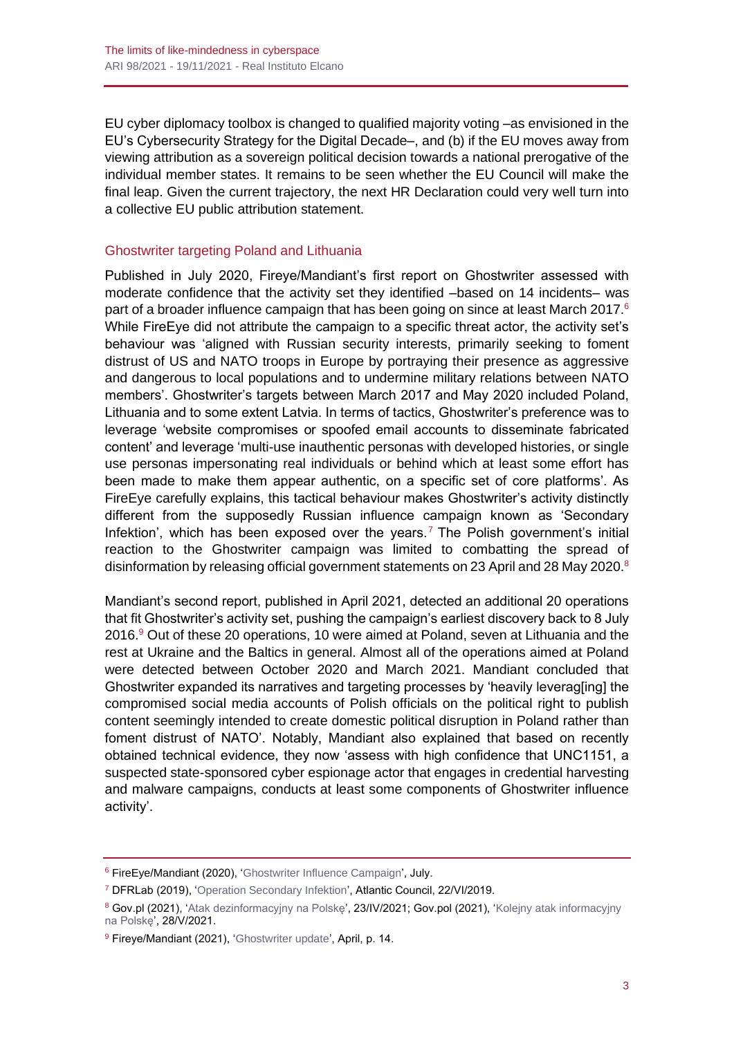EU cyber diplomacy toolbox is changed to qualified majority voting –as envisioned in the EU's Cybersecurity Strategy for the Digital Decade–, and (b) if the EU moves away from viewing attribution as a sovereign political decision towards a national prerogative of the individual member states. It remains to be seen whether the EU Council will make the final leap. Given the current trajectory, the next HR Declaration could very well turn into a collective EU public attribution statement.

#### Ghostwriter targeting Poland and Lithuania

Published in July 2020, Fireye/Mandiant's first report on Ghostwriter assessed with moderate confidence that the activity set they identified –based on 14 incidents– was part of a broader influence campaign that has been going on since at least March 2017.<sup>6</sup> While FireEye did not attribute the campaign to a specific threat actor, the activity set's behaviour was 'aligned with Russian security interests, primarily seeking to foment distrust of US and NATO troops in Europe by portraying their presence as aggressive and dangerous to local populations and to undermine military relations between NATO members'. Ghostwriter's targets between March 2017 and May 2020 included Poland, Lithuania and to some extent Latvia. In terms of tactics, Ghostwriter's preference was to leverage 'website compromises or spoofed email accounts to disseminate fabricated content' and leverage 'multi-use inauthentic personas with developed histories, or single use personas impersonating real individuals or behind which at least some effort has been made to make them appear authentic, on a specific set of core platforms'. As FireEye carefully explains, this tactical behaviour makes Ghostwriter's activity distinctly different from the supposedly Russian influence campaign known as 'Secondary Infektion', which has been exposed over the years.<sup>7</sup> The Polish government's initial reaction to the Ghostwriter campaign was limited to combatting the spread of disinformation by releasing official government statements on 23 April and 28 May 2020.<sup>8</sup>

Mandiant's second report, published in April 2021, detected an additional 20 operations that fit Ghostwriter's activity set, pushing the campaign's earliest discovery back to 8 July  $2016.9$  Out of these 20 operations, 10 were aimed at Poland, seven at Lithuania and the rest at Ukraine and the Baltics in general. Almost all of the operations aimed at Poland were detected between October 2020 and March 2021. Mandiant concluded that Ghostwriter expanded its narratives and targeting processes by 'heavily leverag[ing] the compromised social media accounts of Polish officials on the political right to publish content seemingly intended to create domestic political disruption in Poland rather than foment distrust of NATO'. Notably, Mandiant also explained that based on recently obtained technical evidence, they now 'assess with high confidence that UNC1151, a suspected state-sponsored cyber espionage actor that engages in credential harvesting and malware campaigns, conducts at least some components of Ghostwriter influence activity'.

<sup>6</sup> FireEye/Mandiant (2020), ['Ghostwriter](https://www.fireeye.com/content/dam/fireeye-www/blog/pdfs/Ghostwriter-Influence-Campaign.pdf) Influence Campaign', July.

<sup>7</sup> DFRLab (2019), ['Operation Secondary Infektion',](https://www.atlanticcouncil.org/wp-content/uploads/2019/08/Operation-Secondary-Infektion_English.pdf) Atlantic Council, 22/VI/2019.

<sup>&</sup>lt;sup>8</sup> Gov.pl (2021), ['Atak dezinformacyjny na Polskę'](https://www.gov.pl/web/sluzby-specjalne/atak-dezinformacyjny-na-polske), 23/IV/2021; Gov.pol (2021), 'Kolejny atak informacyjny [na Polskę',](https://www.gov.pl/web/sluzby-specjalne/kolejny-atak-informacyjny-na-pl) 28/V/2021.

<sup>&</sup>lt;sup>9</sup> Fireye/Mandiant (2021), ['Ghostwriter update'](https://content.fireeye.com/web-assets/rpt-unc1151-ghostwriter-update), April, p. 14.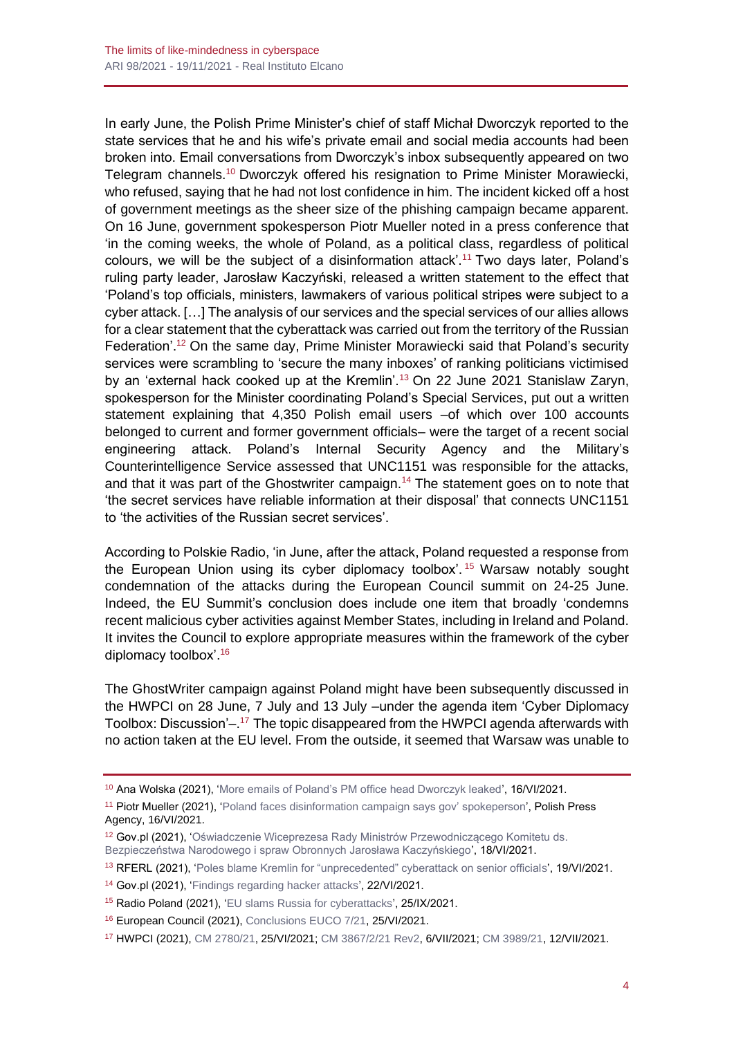In early June, the Polish Prime Minister's chief of staff Michał Dworczyk reported to the state services that he and his wife's private email and social media accounts had been broken into. Email conversations from Dworczyk's inbox subsequently appeared on two Telegram channels.<sup>10</sup> Dworczyk offered his resignation to Prime Minister Morawiecki, who refused, saying that he had not lost confidence in him. The incident kicked off a host of government meetings as the sheer size of the phishing campaign became apparent. On 16 June, government spokesperson Piotr Mueller noted in a press conference that 'in the coming weeks, the whole of Poland, as a political class, regardless of political colours, we will be the subject of a disinformation attack'.<sup>11</sup> Two days later, Poland's ruling party leader, Jarosław Kaczyński, released a written statement to the effect that 'Poland's top officials, ministers, lawmakers of various political stripes were subject to a cyber attack. […] The analysis of our services and the special services of our allies allows for a clear statement that the cyberattack was carried out from the territory of the Russian Federation'.<sup>12</sup> On the same day, Prime Minister Morawiecki said that Poland's security services were scrambling to 'secure the many inboxes' of ranking politicians victimised by an 'external hack cooked up at the Kremlin'.<sup>13</sup> On 22 June 2021 Stanislaw Zaryn, spokesperson for the Minister coordinating Poland's Special Services, put out a written statement explaining that 4,350 Polish email users –of which over 100 accounts belonged to current and former government officials– were the target of a recent social engineering attack. Poland's Internal Security Agency and the Military's Counterintelligence Service assessed that UNC1151 was responsible for the attacks, and that it was part of the Ghostwriter campaign.<sup>14</sup> The statement goes on to note that 'the secret services have reliable information at their disposal' that connects UNC1151 to 'the activities of the Russian secret services'.

According to Polskie Radio, 'in June, after the attack, Poland requested a response from the European Union using its cyber diplomacy toolbox'. <sup>15</sup> Warsaw notably sought condemnation of the attacks during the European Council summit on 24-25 June. Indeed, the EU Summit's conclusion does include one item that broadly 'condemns recent malicious cyber activities against Member States, including in Ireland and Poland. It invites the Council to explore appropriate measures within the framework of the cyber diplomacy toolbox'.<sup>16</sup>

The GhostWriter campaign against Poland might have been subsequently discussed in the HWPCI on 28 June, 7 July and 13 July –under the agenda item 'Cyber Diplomacy Toolbox: Discussion'-.<sup>17</sup> The topic disappeared from the HWPCI agenda afterwards with no action taken at the EU level. From the outside, it seemed that Warsaw was unable to

<sup>&</sup>lt;sup>10</sup> Ana Wolska (2021), ['More emails of Poland's PM office head Dworczyk leaked'](https://www.euractiv.com/section/politics/short_news/more-emails-of-polands-pm-office-head-dworczyk-leaked/), 16/VI/2021.

<sup>11</sup> Piotr Mueller (2021), ['Poland faces disinformation campaign says gov' spokeperson',](https://www.pap.pl/en/news/news%2C892700%2Cpoland-faces-disinformation-campaign-says-gov-spokesperson.html) Polish Press Agency, 16/VI/2021.

<sup>12</sup> Gov.pl (2021), ['Oświadczenie Wiceprezesa Rady Ministrów Przewodniczącego Komitetu ds.](https://www.gov.pl/web/premier/oswiadczenie-wiceprezesa-rady-ministrow-przewodniczacego-komitetu-ds-bezpieczenstwa-narodowego-i-spraw-obronnych-jaroslawa-kaczynskiego2)  [Bezpieczeństwa Narodowego i spraw Obronnych Jarosława Kaczyńskiego'](https://www.gov.pl/web/premier/oswiadczenie-wiceprezesa-rady-ministrow-przewodniczacego-komitetu-ds-bezpieczenstwa-narodowego-i-spraw-obronnych-jaroslawa-kaczynskiego2), 18/VI/2021.

<sup>&</sup>lt;sup>13</sup> RFERL (2021), ['Poles blame Kremlin for "unprecedented" cyberattack on senior officials'](https://www.rferl.org/a/poland-russia-cyberattack-officials/31315816.html), 19/VI/2021.

<sup>14</sup> Gov.pl (2021), ['Findings regarding hacker attacks'](https://www.gov.pl/web/sluzby-specjalne/findings-regarding-hacker-attacks), 22/VI/2021.

<sup>15</sup> Radio Poland (2021), ['EU slams Russia for cyberattacks',](https://www.polskieradio.pl/395/7785/Artykul/2814112,EU-slams-Russia-for-cyberattacks) 25/IX/2021.

<sup>16</sup> European Council (2021), [Conclusions EUCO 7/21,](https://www.consilium.europa.eu/media/50763/2425-06-21-euco-conclusions-en.pdf) 25/VI/2021.

<sup>17</sup> HWPCI (2021)[, CM 2780/21,](https://data.consilium.europa.eu/doc/document/CM-3780-2021-INIT/en/pdf) 25/VI/2021; [CM 3867/2/21 Rev2,](https://data.consilium.europa.eu/doc/document/CM-3867-2021-REV-2/en/pdf) 6/VII/2021[; CM 3989/21,](https://data.consilium.europa.eu/doc/document/CM-3989-2021-INIT/en/pdf) 12/VII/2021.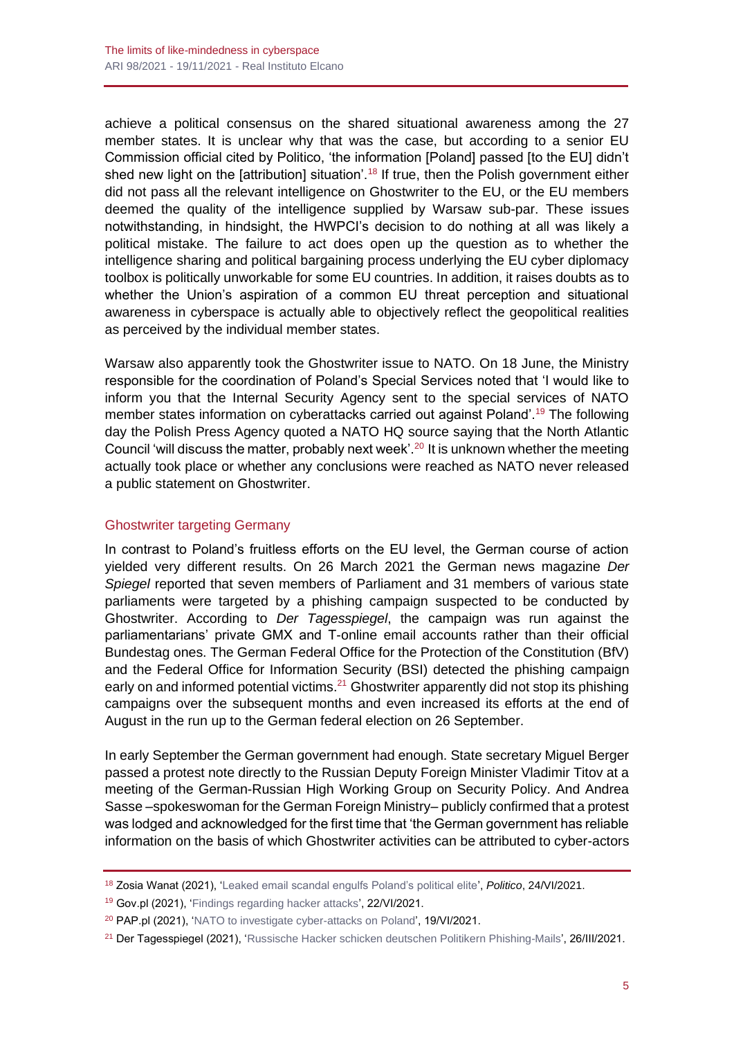achieve a political consensus on the shared situational awareness among the 27 member states. It is unclear why that was the case, but according to a senior EU Commission official cited by Politico, 'the information [Poland] passed [to the EU] didn't shed new light on the [attribution] situation'.<sup>18</sup> If true, then the Polish government either did not pass all the relevant intelligence on Ghostwriter to the EU, or the EU members deemed the quality of the intelligence supplied by Warsaw sub-par. These issues notwithstanding, in hindsight, the HWPCI's decision to do nothing at all was likely a political mistake. The failure to act does open up the question as to whether the intelligence sharing and political bargaining process underlying the EU cyber diplomacy toolbox is politically unworkable for some EU countries. In addition, it raises doubts as to whether the Union's aspiration of a common EU threat perception and situational awareness in cyberspace is actually able to objectively reflect the geopolitical realities as perceived by the individual member states.

Warsaw also apparently took the Ghostwriter issue to NATO. On 18 June, the Ministry responsible for the coordination of Poland's Special Services noted that 'I would like to inform you that the Internal Security Agency sent to the special services of NATO member states information on cyberattacks carried out against Poland'.<sup>19</sup> The following day the Polish Press Agency quoted a NATO HQ source saying that the North Atlantic Council 'will discuss the matter, probably next week'.<sup>20</sup> It is unknown whether the meeting actually took place or whether any conclusions were reached as NATO never released a public statement on Ghostwriter.

#### Ghostwriter targeting Germany

In contrast to Poland's fruitless efforts on the EU level, the German course of action yielded very different results. On 26 March 2021 the German news magazine *Der Spiegel* reported that seven members of Parliament and 31 members of various state parliaments were targeted by a phishing campaign suspected to be conducted by Ghostwriter. According to *Der Tagesspiegel*, the campaign was run against the parliamentarians' private GMX and T-online email accounts rather than their official Bundestag ones. The German Federal Office for the Protection of the Constitution (BfV) and the Federal Office for Information Security (BSI) detected the phishing campaign early on and informed potential victims.<sup>21</sup> Ghostwriter apparently did not stop its phishing campaigns over the subsequent months and even increased its efforts at the end of August in the run up to the German federal election on 26 September.

In early September the German government had enough. State secretary Miguel Berger passed a protest note directly to the Russian Deputy Foreign Minister Vladimir Titov at a meeting of the German-Russian High Working Group on Security Policy. And Andrea Sasse –spokeswoman for the German Foreign Ministry– publicly confirmed that a protest was lodged and acknowledged for the first time that 'the German government has reliable information on the basis of which Ghostwriter activities can be attributed to cyber-actors

<sup>18</sup> Zosia Wanat (2021), ['Leaked email scandal engulfs Poland's political elite',](https://www.politico.eu/article/leaked-email-scandal-engulfs-poland-political-elite-mails-hacking/) *Politico*, 24/VI/2021.

<sup>19</sup> Gov.pl (2021), ['Findings regarding hacker attacks'](https://www.gov.pl/web/sluzby-specjalne/findings-regarding-hacker-attacks), 22/VI/2021.

<sup>&</sup>lt;sup>20</sup> PAP.pl (2021), ['NATO to investigate cyber-attacks on Poland'](https://www.pap.pl/en/news/news%2C894609%2Cnato-investigate-cyber-attacks-poland-source.html), 19/VI/2021.

<sup>21</sup> Der Tagesspiegel (2021), ['Russische Hacker schicken deutschen Politikern Phishing-Mails'](https://www.tagesspiegel.de/politik/cyberattacke-auf-bundestagsabgeordnete-russische-hacker-schicken-deutschen-politikern-phishing-mails/27045516.html), 26/III/2021.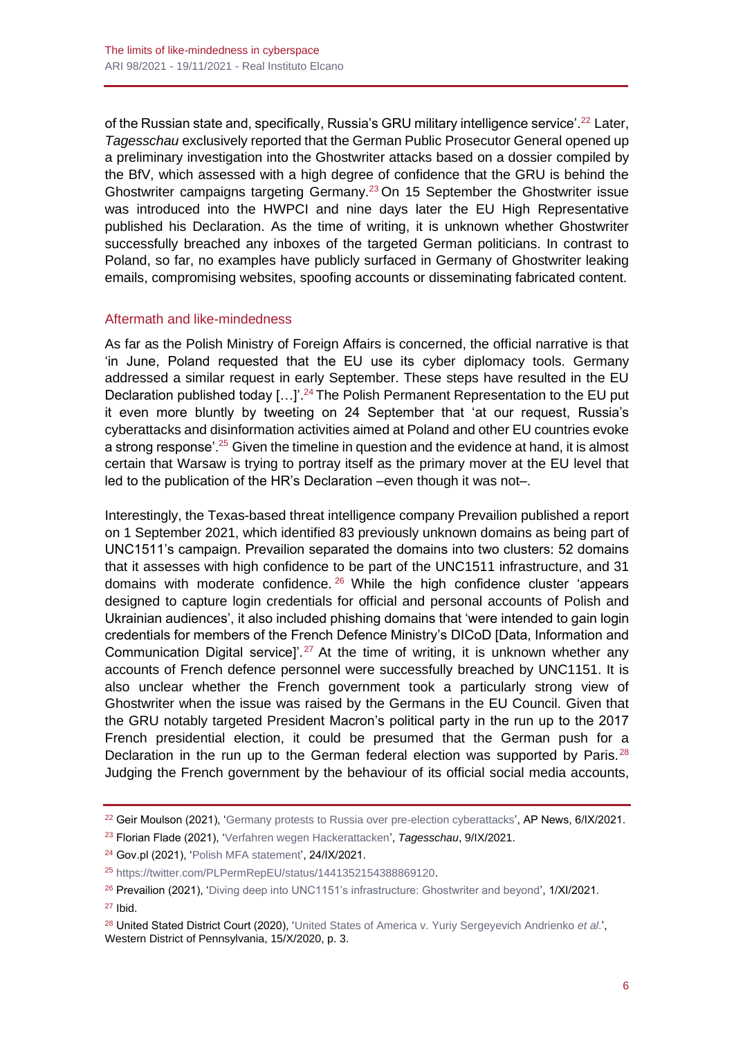of the Russian state and, specifically, Russia's GRU military intelligence service'.<sup>22</sup> Later, *Tagesschau* exclusively reported that the German Public Prosecutor General opened up a preliminary investigation into the Ghostwriter attacks based on a dossier compiled by the BfV, which assessed with a high degree of confidence that the GRU is behind the Ghostwriter campaigns targeting Germany.<sup>23</sup> On 15 September the Ghostwriter issue was introduced into the HWPCI and nine days later the EU High Representative published his Declaration. As the time of writing, it is unknown whether Ghostwriter successfully breached any inboxes of the targeted German politicians. In contrast to Poland, so far, no examples have publicly surfaced in Germany of Ghostwriter leaking emails, compromising websites, spoofing accounts or disseminating fabricated content.

#### Aftermath and like-mindedness

As far as the Polish Ministry of Foreign Affairs is concerned, the official narrative is that 'in June, Poland requested that the EU use its cyber diplomacy tools. Germany addressed a similar request in early September. These steps have resulted in the EU Declaration published today [...]'.<sup>24</sup> The Polish Permanent Representation to the EU put it even more bluntly by tweeting on 24 September that 'at our request, Russia's cyberattacks and disinformation activities aimed at Poland and other EU countries evoke a strong response'.<sup>25</sup> Given the timeline in question and the evidence at hand, it is almost certain that Warsaw is trying to portray itself as the primary mover at the EU level that led to the publication of the HR's Declaration –even though it was not–.

Interestingly, the Texas-based threat intelligence company Prevailion published a report on 1 September 2021, which identified 83 previously unknown domains as being part of UNC1511's campaign. Prevailion separated the domains into two clusters: 52 domains that it assesses with high confidence to be part of the UNC1511 infrastructure, and 31 domains with moderate confidence.  $26$  While the high confidence cluster 'appears designed to capture login credentials for official and personal accounts of Polish and Ukrainian audiences', it also included phishing domains that 'were intended to gain login credentials for members of the French Defence Ministry's DICoD [Data, Information and Communication Digital service]'.<sup>27</sup> At the time of writing, it is unknown whether any accounts of French defence personnel were successfully breached by UNC1151. It is also unclear whether the French government took a particularly strong view of Ghostwriter when the issue was raised by the Germans in the EU Council. Given that the GRU notably targeted President Macron's political party in the run up to the 2017 French presidential election, it could be presumed that the German push for a Declaration in the run up to the German federal election was supported by Paris.<sup>28</sup> Judging the French government by the behaviour of its official social media accounts,

<sup>23</sup> Florian Flade (2021), ['Verfahren wegen Hackerattacken'](https://www.tagesschau.de/investigativ/ndr-wdr/gba-russland-cyberangriffe-101.html), *Tagesschau*, 9/IX/2021.

<sup>&</sup>lt;sup>22</sup> Geir Moulson (2021), ['Germany protests to Russia over pre-election cyberattacks',](https://apnews.com/article/technology-europe-russia-elections-germany-26ea77a3b96b94d5760aab48c9dfc008) AP News, 6/IX/2021.

<sup>24</sup> Gov.pl (2021), ['Polish MFA statement'](https://www.gov.pl/web/diplomacy/polish-mfa-statement), 24/IX/2021.

<sup>25</sup> [https://twitter.com/PLPermRepEU/status/1441352154388869120.](https://twitter.com/PLPermRepEU/status/1441352154388869120)

<sup>&</sup>lt;sup>26</sup> Prevailion (2021), ['Diving deep into UNC1151's infrastructure: Ghostwriter and beyond'](https://www.prevailion.com/diving-deep-into-unc1151s-infrastructure-ghostwriter-and-beyond/), 1/XI/2021. <sup>27</sup> Ibid.

<sup>28</sup> United Stated District Court (2020), ['United States of America v. Yuriy Sergeyevich Andrienko](https://www.justice.gov/opa/press-release/file/1328521/download?source=email) *et al*.', Western District of Pennsylvania, 15/X/2020, p. 3.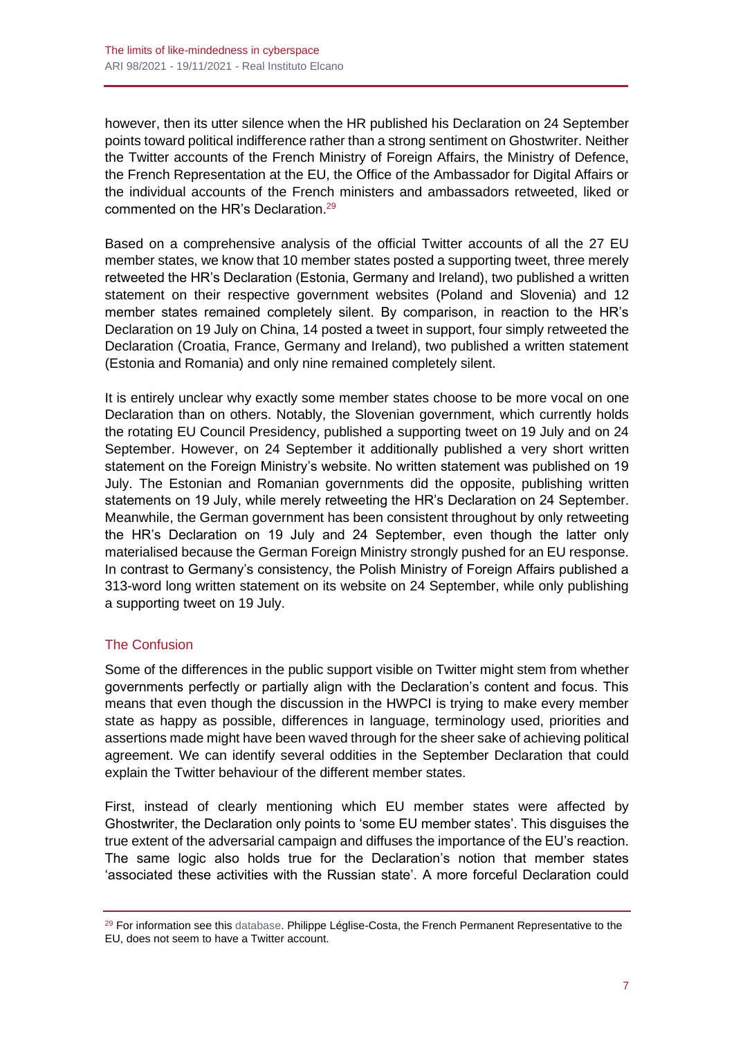however, then its utter silence when the HR published his Declaration on 24 September points toward political indifference rather than a strong sentiment on Ghostwriter. Neither the Twitter accounts of the French Ministry of Foreign Affairs, the Ministry of Defence, the French Representation at the EU, the Office of the Ambassador for Digital Affairs or the individual accounts of the French ministers and ambassadors retweeted, liked or commented on the HR's Declaration.<sup>29</sup>

Based on a comprehensive analysis of the official Twitter accounts of all the 27 EU member states, we know that 10 member states posted a supporting tweet, three merely retweeted the HR's Declaration (Estonia, Germany and Ireland), two published a written statement on their respective government websites (Poland and Slovenia) and 12 member states remained completely silent. By comparison, in reaction to the HR's Declaration on 19 July on China, 14 posted a tweet in support, four simply retweeted the Declaration (Croatia, France, Germany and Ireland), two published a written statement (Estonia and Romania) and only nine remained completely silent.

It is entirely unclear why exactly some member states choose to be more vocal on one Declaration than on others. Notably, the Slovenian government, which currently holds the rotating EU Council Presidency, published a supporting tweet on 19 July and on 24 September. However, on 24 September it additionally published a very short written statement on the Foreign Ministry's website. No written statement was published on 19 July. The Estonian and Romanian governments did the opposite, publishing written statements on 19 July, while merely retweeting the HR's Declaration on 24 September. Meanwhile, the German government has been consistent throughout by only retweeting the HR's Declaration on 19 July and 24 September, even though the latter only materialised because the German Foreign Ministry strongly pushed for an EU response. In contrast to Germany's consistency, the Polish Ministry of Foreign Affairs published a 313-word long written statement on its website on 24 September, while only publishing a supporting tweet on 19 July.

# The Confusion

Some of the differences in the public support visible on Twitter might stem from whether governments perfectly or partially align with the Declaration's content and focus. This means that even though the discussion in the HWPCI is trying to make every member state as happy as possible, differences in language, terminology used, priorities and assertions made might have been waved through for the sheer sake of achieving political agreement. We can identify several oddities in the September Declaration that could explain the Twitter behaviour of the different member states.

First, instead of clearly mentioning which EU member states were affected by Ghostwriter, the Declaration only points to 'some EU member states'. This disguises the true extent of the adversarial campaign and diffuses the importance of the EU's reaction. The same logic also holds true for the Declaration's notion that member states 'associated these activities with the Russian state'. A more forceful Declaration could

<sup>&</sup>lt;sup>29</sup> For information see this [database.](https://docs.google.com/spreadsheets/d/e/2PACX-1vSSFicNm9I0yH8URwLF3VLfVRzrpNKdYt6gWjoolG4Gv73kngtCm3HYsbJwPZdmwWs5L5858aOC13-n/pubhtml) Philippe Léglise-Costa, the French Permanent Representative to the EU, does not seem to have a Twitter account.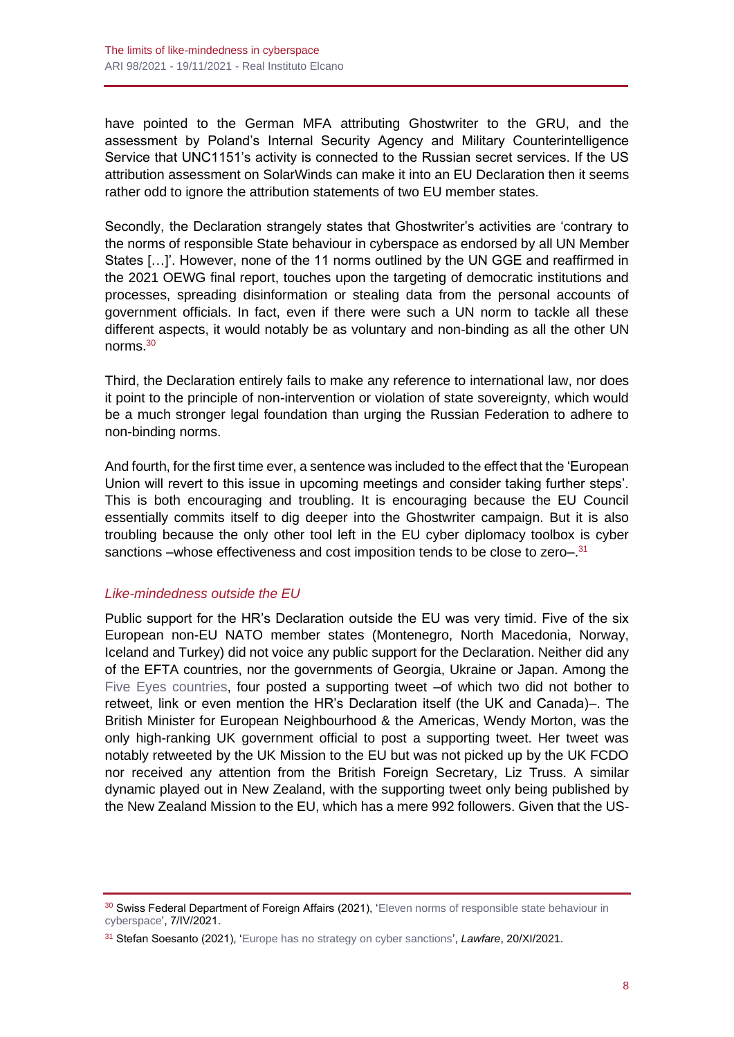have pointed to the German MFA attributing Ghostwriter to the GRU, and the assessment by Poland's Internal Security Agency and Military Counterintelligence Service that UNC1151's activity is connected to the Russian secret services. If the US attribution assessment on SolarWinds can make it into an EU Declaration then it seems rather odd to ignore the attribution statements of two EU member states.

Secondly, the Declaration strangely states that Ghostwriter's activities are 'contrary to the norms of responsible State behaviour in cyberspace as endorsed by all UN Member States […]'. However, none of the 11 norms outlined by the UN GGE and reaffirmed in the 2021 OEWG final report, touches upon the targeting of democratic institutions and processes, spreading disinformation or stealing data from the personal accounts of government officials. In fact, even if there were such a UN norm to tackle all these different aspects, it would notably be as voluntary and non-binding as all the other UN norms.<sup>30</sup>

Third, the Declaration entirely fails to make any reference to international law, nor does it point to the principle of non-intervention or violation of state sovereignty, which would be a much stronger legal foundation than urging the Russian Federation to adhere to non-binding norms.

And fourth, for the first time ever, a sentence was included to the effect that the 'European Union will revert to this issue in upcoming meetings and consider taking further steps'. This is both encouraging and troubling. It is encouraging because the EU Council essentially commits itself to dig deeper into the Ghostwriter campaign. But it is also troubling because the only other tool left in the EU cyber diplomacy toolbox is cyber sanctions –whose effectiveness and cost imposition tends to be close to zero–.<sup>31</sup>

#### *Like-mindedness outside the EU*

Public support for the HR's Declaration outside the EU was very timid. Five of the six European non-EU NATO member states (Montenegro, North Macedonia, Norway, Iceland and Turkey) did not voice any public support for the Declaration. Neither did any of the EFTA countries, nor the governments of Georgia, Ukraine or Japan. Among the [Five Eyes countries,](http://www.realinstitutoelcano.org/wps/portal/rielcano_en/contenido?WCM_GLOBAL_CONTEXT=/elcano/elcano_in/zonas_in/wp11-2021-soesanto-the-19th-july-divided-or-united-in-cyberspace-from-eu-nato-five-eyes-japan) four posted a supporting tweet -of which two did not bother to retweet, link or even mention the HR's Declaration itself (the UK and Canada)–. The British Minister for European Neighbourhood & the Americas, Wendy Morton, was the only high-ranking UK government official to post a supporting tweet. Her tweet was notably retweeted by the UK Mission to the EU but was not picked up by the UK FCDO nor received any attention from the British Foreign Secretary, Liz Truss. A similar dynamic played out in New Zealand, with the supporting tweet only being published by the New Zealand Mission to the EU, which has a mere 992 followers. Given that the US-

<sup>&</sup>lt;sup>30</sup> Swiss Federal Department of Foreign Affairs (2021), 'Eleven norms of responsible state behaviour in [cyberspace'](https://www.eda.admin.ch/eda/en/fdfa/fdfa/aktuell/newsuebersicht/2021/04/uno-cyber-normen.html), 7/IV/2021.

<sup>31</sup> Stefan Soesanto (2021), ['Europe has no strategy on cyber sanctions'](https://www.lawfareblog.com/europe-has-no-strategy-cyber-sanctions), *Lawfare*, 20/XI/2021.